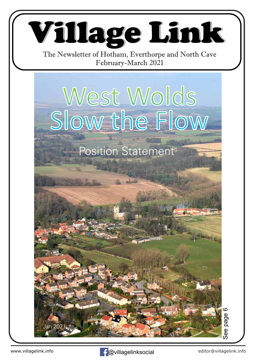